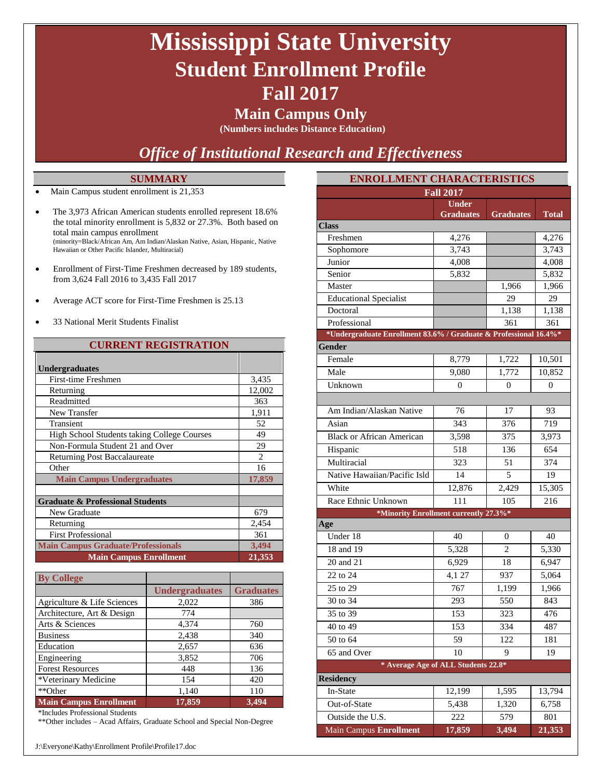## **Mississippi State University Student Enrollment Profile Fall 2017**

### **Main Campus Only**

**(Numbers includes Distance Education)**

### *Office of Institutional Research and Effectiveness*

### **SUMMARY**

- Main Campus student enrollment is 21,353
- The 3,973 African American students enrolled represent 18.6% the total minority enrollment is 5,832 or 27.3%. Both based on total main campus enrollment (minority=Black/African Am, Am Indian/Alaskan Native, Asian, Hispanic, Native Hawaiian or Other Pacific Islander, Multiracial)
- Enrollment of First-Time Freshmen decreased by 189 students, from 3,624 Fall 2016 to 3,435 Fall 2017
- Average ACT score for First-Time Freshmen is 25.13
- 33 National Merit Students Finalist

#### **CURRENT REGISTRATION**

| <b>Undergraduates</b>                              |                |
|----------------------------------------------------|----------------|
| First-time Freshmen                                | 3,435          |
| Returning                                          | 12,002         |
| Readmitted                                         | 363            |
| New Transfer                                       | 1,911          |
| Transient                                          | 52             |
| <b>High School Students taking College Courses</b> | 49             |
| Non-Formula Student 21 and Over                    | 29             |
| <b>Returning Post Baccalaureate</b>                | $\mathfrak{D}$ |
| Other                                              | 16             |
| <b>Main Campus Undergraduates</b>                  | 17,859         |
|                                                    |                |
| <b>Graduate &amp; Professional Students</b>        |                |
| New Graduate                                       | 679            |
| Returning                                          | 2,454          |
| <b>First Professional</b>                          | 361            |
| <b>Main Campus Graduate/Professionals</b>          | 3,494          |
| <b>Main Campus Enrollment</b>                      | 21,353         |

| <b>By College</b>                  |                       |                  |
|------------------------------------|-----------------------|------------------|
|                                    | <b>Undergraduates</b> | <b>Graduates</b> |
| Agriculture & Life Sciences        | 2,022                 | 386              |
| Architecture, Art & Design         | 774                   |                  |
| Arts & Sciences                    | 4,374                 | 760              |
| <b>Business</b>                    | 2,438                 | 340              |
| Education                          | 2,657                 | 636              |
| Engineering                        | 3,852                 | 706              |
| <b>Forest Resources</b>            | 448                   | 136              |
| *Veterinary Medicine               | 154                   | 420              |
| **Other                            | 1,140                 | 110              |
| <b>Main Campus Enrollment</b><br>. | 17,859                | 3,494            |

\*Includes Professional Students

\*\*Other includes – Acad Affairs, Graduate School and Special Non-Degree

| <b>ENROLLMENT CHARACTERISTICS</b>                                |                                  |                  |        |  |  |  |
|------------------------------------------------------------------|----------------------------------|------------------|--------|--|--|--|
|                                                                  | <b>Fall 2017</b>                 |                  |        |  |  |  |
|                                                                  | <b>Under</b><br><b>Graduates</b> | <b>Graduates</b> | Total  |  |  |  |
| <b>Class</b>                                                     |                                  |                  |        |  |  |  |
| Freshmen                                                         | 4,276                            |                  | 4,276  |  |  |  |
| Sophomore                                                        | 3,743                            |                  | 3,743  |  |  |  |
| Junior                                                           | 4,008                            |                  | 4,008  |  |  |  |
| Senior                                                           | 5,832                            |                  | 5,832  |  |  |  |
| Master                                                           |                                  | 1,966            | 1,966  |  |  |  |
| <b>Educational Specialist</b>                                    |                                  | 29               | 29     |  |  |  |
| Doctoral                                                         |                                  | 1,138            | 1,138  |  |  |  |
| Professional                                                     |                                  | 361              | 361    |  |  |  |
| *Undergraduate Enrollment 83.6% / Graduate & Professional 16.4%* |                                  |                  |        |  |  |  |
| Gender                                                           |                                  |                  |        |  |  |  |
| Female                                                           | 8,779                            | 1,722            | 10,501 |  |  |  |
| Male                                                             | 9,080                            | 1,772            | 10.852 |  |  |  |
| Unknown                                                          | 0                                | 0                | 0      |  |  |  |
|                                                                  |                                  |                  |        |  |  |  |
| Am Indian/Alaskan Native                                         | 76                               | 17               | 93     |  |  |  |
| Asian                                                            | 343                              | 376              | 719    |  |  |  |
| <b>Black or African American</b>                                 | 3,598                            | 375              | 3,973  |  |  |  |
| Hispanic                                                         | 518                              | 136              | 654    |  |  |  |
| Multiracial                                                      | 323                              | 51               | 374    |  |  |  |
| Native Hawaiian/Pacific Isld                                     | 14                               | 5                | 19     |  |  |  |
| White                                                            | 12,876                           | 2,429            | 15,305 |  |  |  |
| Race Ethnic Unknown                                              | 111                              | 105              | 216    |  |  |  |
| *Minority Enrollment currently 27.3%*                            |                                  |                  |        |  |  |  |
| Age                                                              |                                  |                  |        |  |  |  |
| Under 18                                                         | 40                               | 0                | 40     |  |  |  |
| 18 and 19                                                        | 5,328                            | $\mathfrak{D}$   | 5,330  |  |  |  |
| 20 and 21                                                        | 6,929                            | 18               | 6,947  |  |  |  |
| 22 to 24                                                         | 4,1 27                           | 937              | 5,064  |  |  |  |
| 25 to 29                                                         | 767                              | 1,199            | 1,966  |  |  |  |
| 30 to 34                                                         | 293                              | 550              | 843    |  |  |  |
| 35 to 39                                                         | 153                              | 323              | 476    |  |  |  |
| 40 to $49$                                                       | 153                              | 334              | 487    |  |  |  |
| 50 to $64$                                                       | 59                               | 122              | 181    |  |  |  |
| 65 and Over                                                      | 10                               | 9                | 19     |  |  |  |
| * Average Age of ALL Students 22.8*                              |                                  |                  |        |  |  |  |
| <b>Residency</b>                                                 |                                  |                  |        |  |  |  |
|                                                                  |                                  |                  |        |  |  |  |
| In-State                                                         | 12,199                           | 1,595            | 13,794 |  |  |  |
| Out-of-State                                                     | 5,438                            | 1,320            | 6,758  |  |  |  |
| Outside the U.S.                                                 | 222                              | 579              | 801    |  |  |  |
| Main Campus Enrollment                                           | 17,859                           | 3,494            | 21,353 |  |  |  |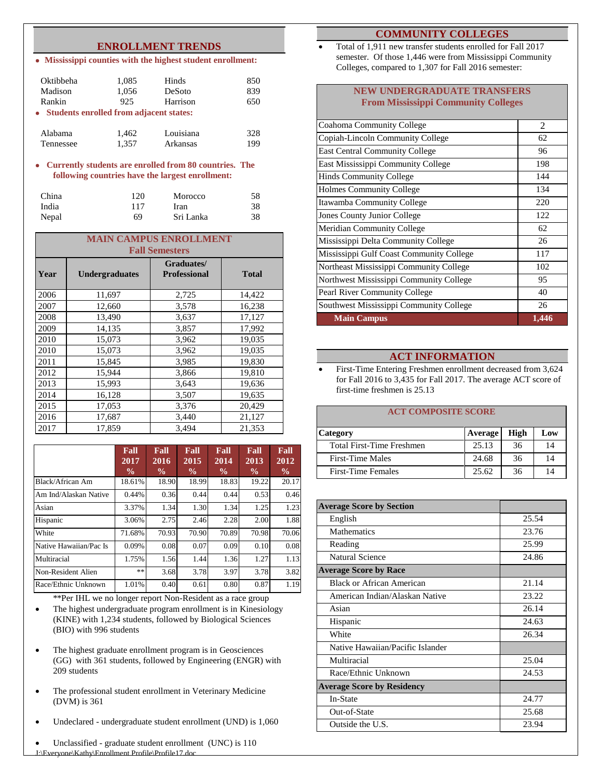### **ENROLLMENT TRENDS**

**Mississippi counties with the highest student enrollment:**

| Oktibbeha<br>Madison<br>Rankin<br>• Students enrolled from adjacent states: | 1,085<br>1,056<br>925 | Hinds<br>DeSoto<br>Harrison | 850<br>839<br>650 |
|-----------------------------------------------------------------------------|-----------------------|-----------------------------|-------------------|
| Alabama                                                                     | 1,462                 | Louisiana                   | 328               |
| Tennessee                                                                   | 1,357                 | Arkansas                    | 199               |

#### **Currently students are enrolled from 80 countries. The following countries have the largest enrollment:**

| China | 120 | Morocco   | 58 |
|-------|-----|-----------|----|
| India | 117 | Iran      | 38 |
| Nepal | 69  | Sri Lanka | 38 |

|      | <b>MAIN CAMPUS ENROLLMENT</b> |                                   |              |  |  |  |
|------|-------------------------------|-----------------------------------|--------------|--|--|--|
|      | <b>Fall Semesters</b>         |                                   |              |  |  |  |
| Year | <b>Undergraduates</b>         | Graduates/<br><b>Professional</b> | <b>Total</b> |  |  |  |
| 2006 | 11,697                        | 2,725                             | 14,422       |  |  |  |
| 2007 | 12,660                        | 3,578                             | 16,238       |  |  |  |
| 2008 | 13,490                        | 3,637                             | 17,127       |  |  |  |
| 2009 | 14,135                        | 3,857                             | 17,992       |  |  |  |
| 2010 | 15,073                        | 3,962                             | 19,035       |  |  |  |
| 2010 | 15,073                        | 3,962                             | 19,035       |  |  |  |
| 2011 | 15,845                        | 3,985                             | 19,830       |  |  |  |
| 2012 | 15,944                        | 3,866                             | 19,810       |  |  |  |
| 2013 | 15,993                        | 3,643                             | 19,636       |  |  |  |
| 2014 | 16,128                        | 3,507                             | 19,635       |  |  |  |
| 2015 | 17,053                        | 3,376                             | 20,429       |  |  |  |
| 2016 | 17,687                        | 3,440                             | 21,127       |  |  |  |
| 2017 | 17.859                        | 3,494                             | 21,353       |  |  |  |

|                        | Fall<br>2017<br>$\frac{0}{0}$ | Fall<br>2016<br>$\frac{6}{9}$ | Fall<br>2015<br>$\frac{0}{0}$ | Fall<br>2014<br>$\frac{0}{0}$ | Fall<br>2013<br>$\frac{6}{9}$ | Fall<br>2012<br>$\frac{6}{10}$ |
|------------------------|-------------------------------|-------------------------------|-------------------------------|-------------------------------|-------------------------------|--------------------------------|
| Black/African Am       | 18.61%                        | 18.90                         | 18.99                         | 18.83                         | 19.22                         | 20.17                          |
| Am Ind/Alaskan Native  | 0.44%                         | 0.36                          | 0.44                          | 0.44                          | 0.53                          | 0.46                           |
| Asian                  | 3.37%                         | 1.34                          | 1.30                          | 1.34                          | 1.25                          | 1.23                           |
| Hispanic               | 3.06%                         | 2.75                          | 2.46                          | 2.28                          | 2.00                          | 1.88                           |
| White                  | 71.68%                        | 70.93                         | 70.90                         | 70.89                         | 70.98                         | 70.06                          |
| Native Hawaiian/Pac Is | 0.09%                         | 0.08                          | 0.07                          | 0.09                          | 0.10                          | 0.08                           |
| Multiracial            | 1.75%                         | 1.56                          | 1.44                          | 1.36                          | 1.27                          | 1.13                           |
| Non-Resident Alien     | **                            | 3.68                          | 3.78                          | 3.97                          | 3.78                          | 3.82                           |
| Race/Ethnic Unknown    | 1.01%                         | 0.40                          | 0.61                          | 0.80                          | 0.87                          | 1.19                           |

\*\*Per IHL we no longer report Non-Resident as a race group

- The highest undergraduate program enrollment is in Kinesiology (KINE) with 1,234 students, followed by Biological Sciences (BIO) with 996 students
- The highest graduate enrollment program is in Geosciences (GG) with 361 students, followed by Engineering (ENGR) with 209 students
- The professional student enrollment in Veterinary Medicine (DVM) is 361
- Undeclared undergraduate student enrollment (UND) is 1,060

e\Kathy\Enrollment Profile\Profile17.do Unclassified - graduate student enrollment (UNC) is 110

#### **COMMUNITY COLLEGES**

 Total of 1,911 new transfer students enrolled for Fall 2017 semester. Of those 1,446 were from Mississippi Community Colleges, compared to 1,307 for Fall 2016 semester:

#### **NEW UNDERGRADUATE TRANSFERS From Mississippi Community Colleges**

| Coahoma Community College                | $\mathfrak{D}$ |
|------------------------------------------|----------------|
| Copiah-Lincoln Community College         | 62             |
| <b>East Central Community College</b>    | 96             |
| East Mississippi Community College       | 198            |
| <b>Hinds Community College</b>           | 144            |
| <b>Holmes Community College</b>          | 134            |
| Itawamba Community College               | 220            |
| Jones County Junior College              | 122            |
| Meridian Community College               | 62             |
| Mississippi Delta Community College      | 26             |
| Mississippi Gulf Coast Community College | 117            |
| Northeast Mississippi Community College  | 102            |
| Northwest Mississippi Community College  | 95             |
| Pearl River Community College            | 40             |
| Southwest Mississippi Community College  | 26             |
| <b>Main Campus</b>                       | 1,446          |

#### **ACT INFORMATION**

• First-Time Entering Freshmen enrollment decreased from 3,624 for Fall 2016 to 3,435 for Fall 2017. The average ACT score of first-time freshmen is 25.13

#### **ACT COMPOSITE SCORE**

| Category                  | <b>Average</b> | High | Low |
|---------------------------|----------------|------|-----|
| Total First-Time Freshmen | 25.13          | 36   | 14  |
| First-Time Males          | 24.68          | 36   | 14  |
| <b>First-Time Females</b> | 25.62          | 36   | 14  |

| <b>Average Score by Section</b>   |       |
|-----------------------------------|-------|
| English                           | 25.54 |
| Mathematics                       | 23.76 |
| Reading                           | 25.99 |
| Natural Science                   | 24.86 |
| <b>Average Score by Race</b>      |       |
| <b>Black or African American</b>  | 21.14 |
| American Indian/Alaskan Native    | 23.22 |
| Asian                             | 26.14 |
| Hispanic                          | 24.63 |
| White                             | 26.34 |
| Native Hawaiian/Pacific Islander  |       |
| Multiracial                       | 25.04 |
| Race/Ethnic Unknown               | 24.53 |
| <b>Average Score by Residency</b> |       |
| In-State                          | 24.77 |
| Out-of-State                      | 25.68 |
| Outside the U.S.                  | 23.94 |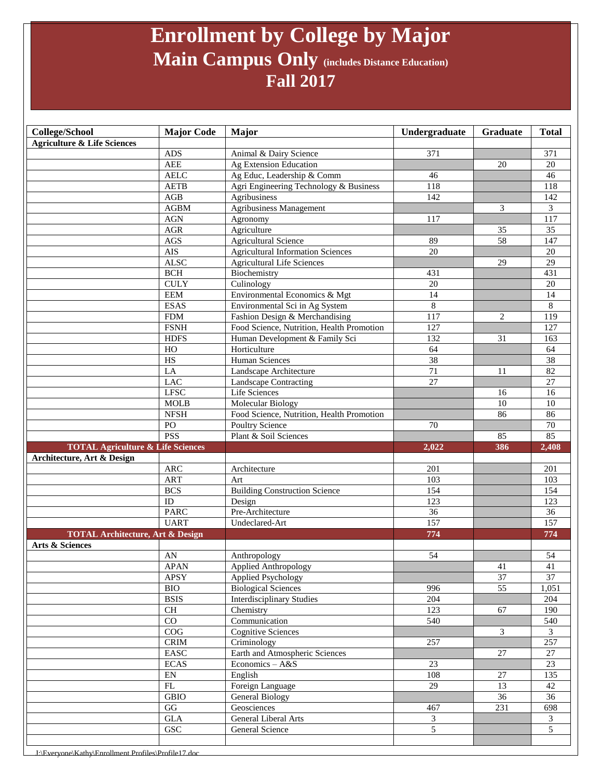## **Enrollment by College by Major Main Campus Only (includes Distance Education) Fall 2017**

| <b>Agriculture &amp; Life Sciences</b><br><b>ADS</b><br>371<br>Animal & Dairy Science<br><b>AEE</b><br>Ag Extension Education<br>20<br><b>AELC</b><br>Ag Educ, Leadership & Comm<br>46<br><b>AETB</b><br>118<br>Agri Engineering Technology & Business<br>AGB<br>142<br>Agribusiness<br>Agribusiness Management<br>3<br><b>AGBM</b><br>$AGN$<br>Agronomy<br>117<br>$\rm{AGR}$<br>Agriculture<br>35<br>58<br>$\rm{AGS}$<br><b>Agricultural Science</b><br>89<br><b>AIS</b><br><b>Agricultural Information Sciences</b><br>$\overline{20}$<br><b>ALSC</b><br><b>Agricultural Life Sciences</b><br>29<br><b>BCH</b><br>Biochemistry<br>431 | 371<br>20<br>46<br>118<br>142<br>3 |
|-----------------------------------------------------------------------------------------------------------------------------------------------------------------------------------------------------------------------------------------------------------------------------------------------------------------------------------------------------------------------------------------------------------------------------------------------------------------------------------------------------------------------------------------------------------------------------------------------------------------------------------------|------------------------------------|
|                                                                                                                                                                                                                                                                                                                                                                                                                                                                                                                                                                                                                                         |                                    |
|                                                                                                                                                                                                                                                                                                                                                                                                                                                                                                                                                                                                                                         |                                    |
|                                                                                                                                                                                                                                                                                                                                                                                                                                                                                                                                                                                                                                         |                                    |
|                                                                                                                                                                                                                                                                                                                                                                                                                                                                                                                                                                                                                                         |                                    |
|                                                                                                                                                                                                                                                                                                                                                                                                                                                                                                                                                                                                                                         |                                    |
|                                                                                                                                                                                                                                                                                                                                                                                                                                                                                                                                                                                                                                         |                                    |
|                                                                                                                                                                                                                                                                                                                                                                                                                                                                                                                                                                                                                                         |                                    |
|                                                                                                                                                                                                                                                                                                                                                                                                                                                                                                                                                                                                                                         | 117                                |
|                                                                                                                                                                                                                                                                                                                                                                                                                                                                                                                                                                                                                                         | 35                                 |
|                                                                                                                                                                                                                                                                                                                                                                                                                                                                                                                                                                                                                                         | 147                                |
|                                                                                                                                                                                                                                                                                                                                                                                                                                                                                                                                                                                                                                         | 20                                 |
|                                                                                                                                                                                                                                                                                                                                                                                                                                                                                                                                                                                                                                         | $\overline{29}$                    |
|                                                                                                                                                                                                                                                                                                                                                                                                                                                                                                                                                                                                                                         | 431                                |
| <b>CULY</b><br>Culinology<br>20                                                                                                                                                                                                                                                                                                                                                                                                                                                                                                                                                                                                         | 20                                 |
| Environmental Economics & Mgt<br><b>EEM</b><br>14                                                                                                                                                                                                                                                                                                                                                                                                                                                                                                                                                                                       | 14                                 |
| $\,8\,$<br><b>ESAS</b><br>Environmental Sci in Ag System                                                                                                                                                                                                                                                                                                                                                                                                                                                                                                                                                                                | $8\,$                              |
| ${\rm FDM}$<br>Fashion Design & Merchandising<br>117<br>2                                                                                                                                                                                                                                                                                                                                                                                                                                                                                                                                                                               | 119                                |
| <b>FSNH</b><br>Food Science, Nutrition, Health Promotion<br>127                                                                                                                                                                                                                                                                                                                                                                                                                                                                                                                                                                         | 127                                |
| <b>HDFS</b><br>132<br>31<br>Human Development & Family Sci                                                                                                                                                                                                                                                                                                                                                                                                                                                                                                                                                                              | 163                                |
| HO<br>Horticulture<br>64                                                                                                                                                                                                                                                                                                                                                                                                                                                                                                                                                                                                                | 64                                 |
| $_{\rm HS}$<br><b>Human Sciences</b><br>38                                                                                                                                                                                                                                                                                                                                                                                                                                                                                                                                                                                              | 38                                 |
| LA<br>Landscape Architecture<br>71<br>11                                                                                                                                                                                                                                                                                                                                                                                                                                                                                                                                                                                                | 82                                 |
| $\overline{27}$<br><b>LAC</b><br>Landscape Contracting                                                                                                                                                                                                                                                                                                                                                                                                                                                                                                                                                                                  | $\overline{27}$                    |
| <b>LFSC</b><br>Life Sciences<br>16                                                                                                                                                                                                                                                                                                                                                                                                                                                                                                                                                                                                      | 16                                 |
| <b>MOLB</b><br>Molecular Biology<br>10                                                                                                                                                                                                                                                                                                                                                                                                                                                                                                                                                                                                  | 10                                 |
| <b>NFSH</b><br>Food Science, Nutrition, Health Promotion<br>86                                                                                                                                                                                                                                                                                                                                                                                                                                                                                                                                                                          | 86                                 |
| PO<br><b>Poultry Science</b><br>70                                                                                                                                                                                                                                                                                                                                                                                                                                                                                                                                                                                                      | 70                                 |
| <b>PSS</b><br>Plant & Soil Sciences<br>85                                                                                                                                                                                                                                                                                                                                                                                                                                                                                                                                                                                               | 85                                 |
| <b>TOTAL Agriculture &amp; Life Sciences</b><br>386<br>2,022                                                                                                                                                                                                                                                                                                                                                                                                                                                                                                                                                                            | 2,408                              |
| Architecture, Art & Design                                                                                                                                                                                                                                                                                                                                                                                                                                                                                                                                                                                                              |                                    |
| <b>ARC</b><br>201<br>Architecture                                                                                                                                                                                                                                                                                                                                                                                                                                                                                                                                                                                                       | 201                                |
| <b>ART</b><br>103<br>Art                                                                                                                                                                                                                                                                                                                                                                                                                                                                                                                                                                                                                | 103                                |
| 154<br><b>BCS</b><br><b>Building Construction Science</b>                                                                                                                                                                                                                                                                                                                                                                                                                                                                                                                                                                               | 154                                |
| ID<br>123<br>Design                                                                                                                                                                                                                                                                                                                                                                                                                                                                                                                                                                                                                     | 123                                |
|                                                                                                                                                                                                                                                                                                                                                                                                                                                                                                                                                                                                                                         | 36                                 |
| Pre-Architecture<br>36<br><b>PARC</b>                                                                                                                                                                                                                                                                                                                                                                                                                                                                                                                                                                                                   | 157                                |
| 157<br><b>UART</b><br>Undeclared-Art                                                                                                                                                                                                                                                                                                                                                                                                                                                                                                                                                                                                    |                                    |
| 774<br><b>TOTAL Architecture, Art &amp; Design</b>                                                                                                                                                                                                                                                                                                                                                                                                                                                                                                                                                                                      | 774                                |
| Arts & Sciences                                                                                                                                                                                                                                                                                                                                                                                                                                                                                                                                                                                                                         |                                    |
| 54<br>AN<br>Anthropology                                                                                                                                                                                                                                                                                                                                                                                                                                                                                                                                                                                                                | 54                                 |
| <b>APAN</b><br><b>Applied Anthropology</b><br>41                                                                                                                                                                                                                                                                                                                                                                                                                                                                                                                                                                                        | 41                                 |
| 37<br>APSY<br><b>Applied Psychology</b>                                                                                                                                                                                                                                                                                                                                                                                                                                                                                                                                                                                                 | 37                                 |
| $\overline{55}$<br><b>BIO</b><br><b>Biological Sciences</b><br>996                                                                                                                                                                                                                                                                                                                                                                                                                                                                                                                                                                      | 1,051                              |
| <b>BSIS</b><br><b>Interdisciplinary Studies</b><br>204                                                                                                                                                                                                                                                                                                                                                                                                                                                                                                                                                                                  | 204                                |
| CH<br>123<br>67<br>Chemistry                                                                                                                                                                                                                                                                                                                                                                                                                                                                                                                                                                                                            | 190                                |
| CO<br>540<br>Communication                                                                                                                                                                                                                                                                                                                                                                                                                                                                                                                                                                                                              | 540                                |
| COG<br>Cognitive Sciences<br>$\mathfrak{Z}$                                                                                                                                                                                                                                                                                                                                                                                                                                                                                                                                                                                             | $\mathfrak{Z}$                     |
| $\mathop{\rm CRIM}\nolimits$<br>$\overline{\text{Criminology}}$<br>257                                                                                                                                                                                                                                                                                                                                                                                                                                                                                                                                                                  | 257                                |
| Earth and Atmospheric Sciences<br>$\operatorname{EASC}$<br>27                                                                                                                                                                                                                                                                                                                                                                                                                                                                                                                                                                           | 27                                 |
| $\rm ECAS$<br>Economics - A&S<br>23                                                                                                                                                                                                                                                                                                                                                                                                                                                                                                                                                                                                     | $\overline{23}$                    |
| EN<br>108<br>$27\,$<br>English                                                                                                                                                                                                                                                                                                                                                                                                                                                                                                                                                                                                          | 135                                |
| ${\rm FL}$<br>Foreign Language<br>13<br>29                                                                                                                                                                                                                                                                                                                                                                                                                                                                                                                                                                                              | 42                                 |
| <b>GBIO</b><br><b>General Biology</b><br>36                                                                                                                                                                                                                                                                                                                                                                                                                                                                                                                                                                                             | 36                                 |
| GG<br>Geosciences<br>467<br>231                                                                                                                                                                                                                                                                                                                                                                                                                                                                                                                                                                                                         | 698                                |
| $\operatorname{GLA}$<br>General Liberal Arts<br>3                                                                                                                                                                                                                                                                                                                                                                                                                                                                                                                                                                                       | $\mathfrak{Z}$                     |
| $\overline{5}$<br>GSC<br>General Science                                                                                                                                                                                                                                                                                                                                                                                                                                                                                                                                                                                                | $\overline{5}$                     |

.athy\Enrollment Profile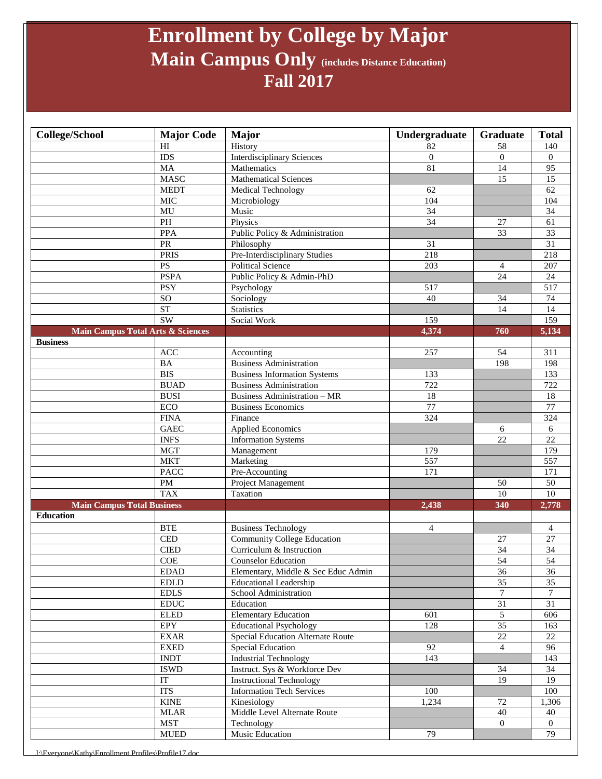## **Enrollment by College by Major Main Campus Only (includes Distance Education) Fall 2017**

| HI<br>History<br>82<br>58<br>140<br><b>Interdisciplinary Sciences</b><br><b>IDS</b><br>$\overline{0}$<br>$\overline{0}$<br>$\Omega$<br>81<br>95<br><b>MA</b><br>Mathematics<br>14<br><b>MASC</b><br>Mathematical Sciences<br>15<br>15<br><b>MEDT</b><br>62<br>Medical Technology<br>62<br><b>MIC</b><br>104<br>104<br>Microbiology<br>$\overline{34}$<br>MU<br>Music<br>34<br>$\overline{PH}$<br>$\overline{34}$<br>Physics<br>61<br>$27\,$<br><b>PPA</b><br>Public Policy & Administration<br>33<br>33<br>PR<br>$\overline{31}$<br>Philosophy<br>31<br><b>PRIS</b><br>Pre-Interdisciplinary Studies<br>218<br>218<br>$\mathbf{P}\mathbf{S}$<br>Political Science<br>203<br>207<br>4<br>24<br>Public Policy & Admin-PhD<br><b>PSPA</b><br>24<br>517<br><b>PSY</b><br>517<br>Psychology<br>SO<br>Sociology<br>40<br>34<br>74<br><b>ST</b><br><b>Statistics</b><br>14<br>14<br>$\overline{\text{SW}}$<br>159<br>Social Work<br>159<br><b>Main Campus Total Arts &amp; Sciences</b><br>4,374<br>5,134<br>760<br><b>Business</b><br>257<br>ACC<br>54<br>311<br>Accounting<br><b>BA</b><br><b>Business Administration</b><br>198<br>198<br><b>BIS</b><br><b>Business Information Systems</b><br>133<br>133<br><b>BUAD</b><br><b>Business Administration</b><br>722<br>722<br>$\overline{18}$<br><b>BUSI</b><br>18<br><b>Business Administration - MR</b><br>77<br>ECO<br>$\overline{77}$<br><b>Business Economics</b><br>324<br><b>FINA</b><br>324<br>Finance<br><b>GAEC</b><br><b>Applied Economics</b><br>6<br>6<br><b>INFS</b><br>22<br>22<br><b>Information Systems</b><br><b>MGT</b><br>Management<br>179<br>179<br>557<br><b>MKT</b><br>557<br>Marketing<br>$\overline{171}$<br><b>PACC</b><br>171<br>Pre-Accounting<br>$\mathbf{PM}$<br>50<br>Project Management<br>50<br><b>TAX</b><br>$\overline{10}$<br>$\overline{10}$<br>Taxation<br><b>Main Campus Total Business</b><br>2,438<br>340<br>2,778<br><b>Education</b><br><b>BTE</b><br><b>Business Technology</b><br>$\overline{4}$<br>$\overline{4}$<br><b>CED</b><br><b>Community College Education</b><br>27<br>27<br>$\overline{34}$<br>$\overline{34}$<br>Curriculum & Instruction<br><b>CIED</b><br>54<br>54<br>COE<br><b>Counselor Education</b><br>36<br><b>EDAD</b><br>Elementary, Middle & Sec Educ Admin<br>36<br>$\overline{35}$<br>35<br><b>EDLD</b><br><b>Educational Leadership</b><br>$\overline{7}$<br>$\tau$<br><b>EDLS</b><br>School Administration<br>$31\,$<br>31<br>$\mathop{\rm EDUC}\nolimits$<br>Education<br>$\mathfrak{S}$<br><b>ELED</b><br><b>Elementary Education</b><br>601<br>606<br>$\overline{35}$<br><b>Educational Psychology</b><br>EPY<br>128<br>163<br>$\overline{22}$<br><b>EXAR</b><br>22<br>Special Education Alternate Route<br><b>EXED</b><br>92<br>$\overline{4}$<br>96<br>Special Education<br><b>INDT</b><br><b>Industrial Technology</b><br>143<br>143<br><b>ISWD</b><br>Instruct. Sys & Workforce Dev<br>34<br>34<br>IT<br><b>Instructional Technology</b><br>19<br>19<br><b>ITS</b><br><b>Information Tech Services</b><br>100<br>100<br><b>KINE</b><br>Kinesiology<br>1,234<br>72<br>1,306<br>Middle Level Alternate Route<br>40<br><b>MLAR</b><br>40<br><b>MST</b><br>Technology<br>$\overline{0}$<br>$\overline{0}$<br>${\tt MUED}$<br>Music Education<br>79<br>79 | <b>College/School</b> | <b>Major Code</b> | <b>Major</b> | Undergraduate | Graduate | <b>Total</b> |
|------------------------------------------------------------------------------------------------------------------------------------------------------------------------------------------------------------------------------------------------------------------------------------------------------------------------------------------------------------------------------------------------------------------------------------------------------------------------------------------------------------------------------------------------------------------------------------------------------------------------------------------------------------------------------------------------------------------------------------------------------------------------------------------------------------------------------------------------------------------------------------------------------------------------------------------------------------------------------------------------------------------------------------------------------------------------------------------------------------------------------------------------------------------------------------------------------------------------------------------------------------------------------------------------------------------------------------------------------------------------------------------------------------------------------------------------------------------------------------------------------------------------------------------------------------------------------------------------------------------------------------------------------------------------------------------------------------------------------------------------------------------------------------------------------------------------------------------------------------------------------------------------------------------------------------------------------------------------------------------------------------------------------------------------------------------------------------------------------------------------------------------------------------------------------------------------------------------------------------------------------------------------------------------------------------------------------------------------------------------------------------------------------------------------------------------------------------------------------------------------------------------------------------------------------------------------------------------------------------------------------------------------------------------------------------------------------------------------------------------------------------------------------------------------------------------------------------------------------------------------------------------------------------------------------------------------------------------------------------------------------------------------------------------------------------------------------------------------------------------------------------------------------------------------------------------------------------------------------------------------------------------------------|-----------------------|-------------------|--------------|---------------|----------|--------------|
|                                                                                                                                                                                                                                                                                                                                                                                                                                                                                                                                                                                                                                                                                                                                                                                                                                                                                                                                                                                                                                                                                                                                                                                                                                                                                                                                                                                                                                                                                                                                                                                                                                                                                                                                                                                                                                                                                                                                                                                                                                                                                                                                                                                                                                                                                                                                                                                                                                                                                                                                                                                                                                                                                                                                                                                                                                                                                                                                                                                                                                                                                                                                                                                                                                                                              |                       |                   |              |               |          |              |
|                                                                                                                                                                                                                                                                                                                                                                                                                                                                                                                                                                                                                                                                                                                                                                                                                                                                                                                                                                                                                                                                                                                                                                                                                                                                                                                                                                                                                                                                                                                                                                                                                                                                                                                                                                                                                                                                                                                                                                                                                                                                                                                                                                                                                                                                                                                                                                                                                                                                                                                                                                                                                                                                                                                                                                                                                                                                                                                                                                                                                                                                                                                                                                                                                                                                              |                       |                   |              |               |          |              |
|                                                                                                                                                                                                                                                                                                                                                                                                                                                                                                                                                                                                                                                                                                                                                                                                                                                                                                                                                                                                                                                                                                                                                                                                                                                                                                                                                                                                                                                                                                                                                                                                                                                                                                                                                                                                                                                                                                                                                                                                                                                                                                                                                                                                                                                                                                                                                                                                                                                                                                                                                                                                                                                                                                                                                                                                                                                                                                                                                                                                                                                                                                                                                                                                                                                                              |                       |                   |              |               |          |              |
|                                                                                                                                                                                                                                                                                                                                                                                                                                                                                                                                                                                                                                                                                                                                                                                                                                                                                                                                                                                                                                                                                                                                                                                                                                                                                                                                                                                                                                                                                                                                                                                                                                                                                                                                                                                                                                                                                                                                                                                                                                                                                                                                                                                                                                                                                                                                                                                                                                                                                                                                                                                                                                                                                                                                                                                                                                                                                                                                                                                                                                                                                                                                                                                                                                                                              |                       |                   |              |               |          |              |
|                                                                                                                                                                                                                                                                                                                                                                                                                                                                                                                                                                                                                                                                                                                                                                                                                                                                                                                                                                                                                                                                                                                                                                                                                                                                                                                                                                                                                                                                                                                                                                                                                                                                                                                                                                                                                                                                                                                                                                                                                                                                                                                                                                                                                                                                                                                                                                                                                                                                                                                                                                                                                                                                                                                                                                                                                                                                                                                                                                                                                                                                                                                                                                                                                                                                              |                       |                   |              |               |          |              |
|                                                                                                                                                                                                                                                                                                                                                                                                                                                                                                                                                                                                                                                                                                                                                                                                                                                                                                                                                                                                                                                                                                                                                                                                                                                                                                                                                                                                                                                                                                                                                                                                                                                                                                                                                                                                                                                                                                                                                                                                                                                                                                                                                                                                                                                                                                                                                                                                                                                                                                                                                                                                                                                                                                                                                                                                                                                                                                                                                                                                                                                                                                                                                                                                                                                                              |                       |                   |              |               |          |              |
|                                                                                                                                                                                                                                                                                                                                                                                                                                                                                                                                                                                                                                                                                                                                                                                                                                                                                                                                                                                                                                                                                                                                                                                                                                                                                                                                                                                                                                                                                                                                                                                                                                                                                                                                                                                                                                                                                                                                                                                                                                                                                                                                                                                                                                                                                                                                                                                                                                                                                                                                                                                                                                                                                                                                                                                                                                                                                                                                                                                                                                                                                                                                                                                                                                                                              |                       |                   |              |               |          |              |
|                                                                                                                                                                                                                                                                                                                                                                                                                                                                                                                                                                                                                                                                                                                                                                                                                                                                                                                                                                                                                                                                                                                                                                                                                                                                                                                                                                                                                                                                                                                                                                                                                                                                                                                                                                                                                                                                                                                                                                                                                                                                                                                                                                                                                                                                                                                                                                                                                                                                                                                                                                                                                                                                                                                                                                                                                                                                                                                                                                                                                                                                                                                                                                                                                                                                              |                       |                   |              |               |          |              |
|                                                                                                                                                                                                                                                                                                                                                                                                                                                                                                                                                                                                                                                                                                                                                                                                                                                                                                                                                                                                                                                                                                                                                                                                                                                                                                                                                                                                                                                                                                                                                                                                                                                                                                                                                                                                                                                                                                                                                                                                                                                                                                                                                                                                                                                                                                                                                                                                                                                                                                                                                                                                                                                                                                                                                                                                                                                                                                                                                                                                                                                                                                                                                                                                                                                                              |                       |                   |              |               |          |              |
|                                                                                                                                                                                                                                                                                                                                                                                                                                                                                                                                                                                                                                                                                                                                                                                                                                                                                                                                                                                                                                                                                                                                                                                                                                                                                                                                                                                                                                                                                                                                                                                                                                                                                                                                                                                                                                                                                                                                                                                                                                                                                                                                                                                                                                                                                                                                                                                                                                                                                                                                                                                                                                                                                                                                                                                                                                                                                                                                                                                                                                                                                                                                                                                                                                                                              |                       |                   |              |               |          |              |
|                                                                                                                                                                                                                                                                                                                                                                                                                                                                                                                                                                                                                                                                                                                                                                                                                                                                                                                                                                                                                                                                                                                                                                                                                                                                                                                                                                                                                                                                                                                                                                                                                                                                                                                                                                                                                                                                                                                                                                                                                                                                                                                                                                                                                                                                                                                                                                                                                                                                                                                                                                                                                                                                                                                                                                                                                                                                                                                                                                                                                                                                                                                                                                                                                                                                              |                       |                   |              |               |          |              |
|                                                                                                                                                                                                                                                                                                                                                                                                                                                                                                                                                                                                                                                                                                                                                                                                                                                                                                                                                                                                                                                                                                                                                                                                                                                                                                                                                                                                                                                                                                                                                                                                                                                                                                                                                                                                                                                                                                                                                                                                                                                                                                                                                                                                                                                                                                                                                                                                                                                                                                                                                                                                                                                                                                                                                                                                                                                                                                                                                                                                                                                                                                                                                                                                                                                                              |                       |                   |              |               |          |              |
|                                                                                                                                                                                                                                                                                                                                                                                                                                                                                                                                                                                                                                                                                                                                                                                                                                                                                                                                                                                                                                                                                                                                                                                                                                                                                                                                                                                                                                                                                                                                                                                                                                                                                                                                                                                                                                                                                                                                                                                                                                                                                                                                                                                                                                                                                                                                                                                                                                                                                                                                                                                                                                                                                                                                                                                                                                                                                                                                                                                                                                                                                                                                                                                                                                                                              |                       |                   |              |               |          |              |
|                                                                                                                                                                                                                                                                                                                                                                                                                                                                                                                                                                                                                                                                                                                                                                                                                                                                                                                                                                                                                                                                                                                                                                                                                                                                                                                                                                                                                                                                                                                                                                                                                                                                                                                                                                                                                                                                                                                                                                                                                                                                                                                                                                                                                                                                                                                                                                                                                                                                                                                                                                                                                                                                                                                                                                                                                                                                                                                                                                                                                                                                                                                                                                                                                                                                              |                       |                   |              |               |          |              |
|                                                                                                                                                                                                                                                                                                                                                                                                                                                                                                                                                                                                                                                                                                                                                                                                                                                                                                                                                                                                                                                                                                                                                                                                                                                                                                                                                                                                                                                                                                                                                                                                                                                                                                                                                                                                                                                                                                                                                                                                                                                                                                                                                                                                                                                                                                                                                                                                                                                                                                                                                                                                                                                                                                                                                                                                                                                                                                                                                                                                                                                                                                                                                                                                                                                                              |                       |                   |              |               |          |              |
|                                                                                                                                                                                                                                                                                                                                                                                                                                                                                                                                                                                                                                                                                                                                                                                                                                                                                                                                                                                                                                                                                                                                                                                                                                                                                                                                                                                                                                                                                                                                                                                                                                                                                                                                                                                                                                                                                                                                                                                                                                                                                                                                                                                                                                                                                                                                                                                                                                                                                                                                                                                                                                                                                                                                                                                                                                                                                                                                                                                                                                                                                                                                                                                                                                                                              |                       |                   |              |               |          |              |
|                                                                                                                                                                                                                                                                                                                                                                                                                                                                                                                                                                                                                                                                                                                                                                                                                                                                                                                                                                                                                                                                                                                                                                                                                                                                                                                                                                                                                                                                                                                                                                                                                                                                                                                                                                                                                                                                                                                                                                                                                                                                                                                                                                                                                                                                                                                                                                                                                                                                                                                                                                                                                                                                                                                                                                                                                                                                                                                                                                                                                                                                                                                                                                                                                                                                              |                       |                   |              |               |          |              |
|                                                                                                                                                                                                                                                                                                                                                                                                                                                                                                                                                                                                                                                                                                                                                                                                                                                                                                                                                                                                                                                                                                                                                                                                                                                                                                                                                                                                                                                                                                                                                                                                                                                                                                                                                                                                                                                                                                                                                                                                                                                                                                                                                                                                                                                                                                                                                                                                                                                                                                                                                                                                                                                                                                                                                                                                                                                                                                                                                                                                                                                                                                                                                                                                                                                                              |                       |                   |              |               |          |              |
|                                                                                                                                                                                                                                                                                                                                                                                                                                                                                                                                                                                                                                                                                                                                                                                                                                                                                                                                                                                                                                                                                                                                                                                                                                                                                                                                                                                                                                                                                                                                                                                                                                                                                                                                                                                                                                                                                                                                                                                                                                                                                                                                                                                                                                                                                                                                                                                                                                                                                                                                                                                                                                                                                                                                                                                                                                                                                                                                                                                                                                                                                                                                                                                                                                                                              |                       |                   |              |               |          |              |
|                                                                                                                                                                                                                                                                                                                                                                                                                                                                                                                                                                                                                                                                                                                                                                                                                                                                                                                                                                                                                                                                                                                                                                                                                                                                                                                                                                                                                                                                                                                                                                                                                                                                                                                                                                                                                                                                                                                                                                                                                                                                                                                                                                                                                                                                                                                                                                                                                                                                                                                                                                                                                                                                                                                                                                                                                                                                                                                                                                                                                                                                                                                                                                                                                                                                              |                       |                   |              |               |          |              |
|                                                                                                                                                                                                                                                                                                                                                                                                                                                                                                                                                                                                                                                                                                                                                                                                                                                                                                                                                                                                                                                                                                                                                                                                                                                                                                                                                                                                                                                                                                                                                                                                                                                                                                                                                                                                                                                                                                                                                                                                                                                                                                                                                                                                                                                                                                                                                                                                                                                                                                                                                                                                                                                                                                                                                                                                                                                                                                                                                                                                                                                                                                                                                                                                                                                                              |                       |                   |              |               |          |              |
|                                                                                                                                                                                                                                                                                                                                                                                                                                                                                                                                                                                                                                                                                                                                                                                                                                                                                                                                                                                                                                                                                                                                                                                                                                                                                                                                                                                                                                                                                                                                                                                                                                                                                                                                                                                                                                                                                                                                                                                                                                                                                                                                                                                                                                                                                                                                                                                                                                                                                                                                                                                                                                                                                                                                                                                                                                                                                                                                                                                                                                                                                                                                                                                                                                                                              |                       |                   |              |               |          |              |
|                                                                                                                                                                                                                                                                                                                                                                                                                                                                                                                                                                                                                                                                                                                                                                                                                                                                                                                                                                                                                                                                                                                                                                                                                                                                                                                                                                                                                                                                                                                                                                                                                                                                                                                                                                                                                                                                                                                                                                                                                                                                                                                                                                                                                                                                                                                                                                                                                                                                                                                                                                                                                                                                                                                                                                                                                                                                                                                                                                                                                                                                                                                                                                                                                                                                              |                       |                   |              |               |          |              |
|                                                                                                                                                                                                                                                                                                                                                                                                                                                                                                                                                                                                                                                                                                                                                                                                                                                                                                                                                                                                                                                                                                                                                                                                                                                                                                                                                                                                                                                                                                                                                                                                                                                                                                                                                                                                                                                                                                                                                                                                                                                                                                                                                                                                                                                                                                                                                                                                                                                                                                                                                                                                                                                                                                                                                                                                                                                                                                                                                                                                                                                                                                                                                                                                                                                                              |                       |                   |              |               |          |              |
|                                                                                                                                                                                                                                                                                                                                                                                                                                                                                                                                                                                                                                                                                                                                                                                                                                                                                                                                                                                                                                                                                                                                                                                                                                                                                                                                                                                                                                                                                                                                                                                                                                                                                                                                                                                                                                                                                                                                                                                                                                                                                                                                                                                                                                                                                                                                                                                                                                                                                                                                                                                                                                                                                                                                                                                                                                                                                                                                                                                                                                                                                                                                                                                                                                                                              |                       |                   |              |               |          |              |
|                                                                                                                                                                                                                                                                                                                                                                                                                                                                                                                                                                                                                                                                                                                                                                                                                                                                                                                                                                                                                                                                                                                                                                                                                                                                                                                                                                                                                                                                                                                                                                                                                                                                                                                                                                                                                                                                                                                                                                                                                                                                                                                                                                                                                                                                                                                                                                                                                                                                                                                                                                                                                                                                                                                                                                                                                                                                                                                                                                                                                                                                                                                                                                                                                                                                              |                       |                   |              |               |          |              |
|                                                                                                                                                                                                                                                                                                                                                                                                                                                                                                                                                                                                                                                                                                                                                                                                                                                                                                                                                                                                                                                                                                                                                                                                                                                                                                                                                                                                                                                                                                                                                                                                                                                                                                                                                                                                                                                                                                                                                                                                                                                                                                                                                                                                                                                                                                                                                                                                                                                                                                                                                                                                                                                                                                                                                                                                                                                                                                                                                                                                                                                                                                                                                                                                                                                                              |                       |                   |              |               |          |              |
|                                                                                                                                                                                                                                                                                                                                                                                                                                                                                                                                                                                                                                                                                                                                                                                                                                                                                                                                                                                                                                                                                                                                                                                                                                                                                                                                                                                                                                                                                                                                                                                                                                                                                                                                                                                                                                                                                                                                                                                                                                                                                                                                                                                                                                                                                                                                                                                                                                                                                                                                                                                                                                                                                                                                                                                                                                                                                                                                                                                                                                                                                                                                                                                                                                                                              |                       |                   |              |               |          |              |
|                                                                                                                                                                                                                                                                                                                                                                                                                                                                                                                                                                                                                                                                                                                                                                                                                                                                                                                                                                                                                                                                                                                                                                                                                                                                                                                                                                                                                                                                                                                                                                                                                                                                                                                                                                                                                                                                                                                                                                                                                                                                                                                                                                                                                                                                                                                                                                                                                                                                                                                                                                                                                                                                                                                                                                                                                                                                                                                                                                                                                                                                                                                                                                                                                                                                              |                       |                   |              |               |          |              |
|                                                                                                                                                                                                                                                                                                                                                                                                                                                                                                                                                                                                                                                                                                                                                                                                                                                                                                                                                                                                                                                                                                                                                                                                                                                                                                                                                                                                                                                                                                                                                                                                                                                                                                                                                                                                                                                                                                                                                                                                                                                                                                                                                                                                                                                                                                                                                                                                                                                                                                                                                                                                                                                                                                                                                                                                                                                                                                                                                                                                                                                                                                                                                                                                                                                                              |                       |                   |              |               |          |              |
|                                                                                                                                                                                                                                                                                                                                                                                                                                                                                                                                                                                                                                                                                                                                                                                                                                                                                                                                                                                                                                                                                                                                                                                                                                                                                                                                                                                                                                                                                                                                                                                                                                                                                                                                                                                                                                                                                                                                                                                                                                                                                                                                                                                                                                                                                                                                                                                                                                                                                                                                                                                                                                                                                                                                                                                                                                                                                                                                                                                                                                                                                                                                                                                                                                                                              |                       |                   |              |               |          |              |
|                                                                                                                                                                                                                                                                                                                                                                                                                                                                                                                                                                                                                                                                                                                                                                                                                                                                                                                                                                                                                                                                                                                                                                                                                                                                                                                                                                                                                                                                                                                                                                                                                                                                                                                                                                                                                                                                                                                                                                                                                                                                                                                                                                                                                                                                                                                                                                                                                                                                                                                                                                                                                                                                                                                                                                                                                                                                                                                                                                                                                                                                                                                                                                                                                                                                              |                       |                   |              |               |          |              |
|                                                                                                                                                                                                                                                                                                                                                                                                                                                                                                                                                                                                                                                                                                                                                                                                                                                                                                                                                                                                                                                                                                                                                                                                                                                                                                                                                                                                                                                                                                                                                                                                                                                                                                                                                                                                                                                                                                                                                                                                                                                                                                                                                                                                                                                                                                                                                                                                                                                                                                                                                                                                                                                                                                                                                                                                                                                                                                                                                                                                                                                                                                                                                                                                                                                                              |                       |                   |              |               |          |              |
|                                                                                                                                                                                                                                                                                                                                                                                                                                                                                                                                                                                                                                                                                                                                                                                                                                                                                                                                                                                                                                                                                                                                                                                                                                                                                                                                                                                                                                                                                                                                                                                                                                                                                                                                                                                                                                                                                                                                                                                                                                                                                                                                                                                                                                                                                                                                                                                                                                                                                                                                                                                                                                                                                                                                                                                                                                                                                                                                                                                                                                                                                                                                                                                                                                                                              |                       |                   |              |               |          |              |
|                                                                                                                                                                                                                                                                                                                                                                                                                                                                                                                                                                                                                                                                                                                                                                                                                                                                                                                                                                                                                                                                                                                                                                                                                                                                                                                                                                                                                                                                                                                                                                                                                                                                                                                                                                                                                                                                                                                                                                                                                                                                                                                                                                                                                                                                                                                                                                                                                                                                                                                                                                                                                                                                                                                                                                                                                                                                                                                                                                                                                                                                                                                                                                                                                                                                              |                       |                   |              |               |          |              |
|                                                                                                                                                                                                                                                                                                                                                                                                                                                                                                                                                                                                                                                                                                                                                                                                                                                                                                                                                                                                                                                                                                                                                                                                                                                                                                                                                                                                                                                                                                                                                                                                                                                                                                                                                                                                                                                                                                                                                                                                                                                                                                                                                                                                                                                                                                                                                                                                                                                                                                                                                                                                                                                                                                                                                                                                                                                                                                                                                                                                                                                                                                                                                                                                                                                                              |                       |                   |              |               |          |              |
|                                                                                                                                                                                                                                                                                                                                                                                                                                                                                                                                                                                                                                                                                                                                                                                                                                                                                                                                                                                                                                                                                                                                                                                                                                                                                                                                                                                                                                                                                                                                                                                                                                                                                                                                                                                                                                                                                                                                                                                                                                                                                                                                                                                                                                                                                                                                                                                                                                                                                                                                                                                                                                                                                                                                                                                                                                                                                                                                                                                                                                                                                                                                                                                                                                                                              |                       |                   |              |               |          |              |
|                                                                                                                                                                                                                                                                                                                                                                                                                                                                                                                                                                                                                                                                                                                                                                                                                                                                                                                                                                                                                                                                                                                                                                                                                                                                                                                                                                                                                                                                                                                                                                                                                                                                                                                                                                                                                                                                                                                                                                                                                                                                                                                                                                                                                                                                                                                                                                                                                                                                                                                                                                                                                                                                                                                                                                                                                                                                                                                                                                                                                                                                                                                                                                                                                                                                              |                       |                   |              |               |          |              |
|                                                                                                                                                                                                                                                                                                                                                                                                                                                                                                                                                                                                                                                                                                                                                                                                                                                                                                                                                                                                                                                                                                                                                                                                                                                                                                                                                                                                                                                                                                                                                                                                                                                                                                                                                                                                                                                                                                                                                                                                                                                                                                                                                                                                                                                                                                                                                                                                                                                                                                                                                                                                                                                                                                                                                                                                                                                                                                                                                                                                                                                                                                                                                                                                                                                                              |                       |                   |              |               |          |              |
|                                                                                                                                                                                                                                                                                                                                                                                                                                                                                                                                                                                                                                                                                                                                                                                                                                                                                                                                                                                                                                                                                                                                                                                                                                                                                                                                                                                                                                                                                                                                                                                                                                                                                                                                                                                                                                                                                                                                                                                                                                                                                                                                                                                                                                                                                                                                                                                                                                                                                                                                                                                                                                                                                                                                                                                                                                                                                                                                                                                                                                                                                                                                                                                                                                                                              |                       |                   |              |               |          |              |
|                                                                                                                                                                                                                                                                                                                                                                                                                                                                                                                                                                                                                                                                                                                                                                                                                                                                                                                                                                                                                                                                                                                                                                                                                                                                                                                                                                                                                                                                                                                                                                                                                                                                                                                                                                                                                                                                                                                                                                                                                                                                                                                                                                                                                                                                                                                                                                                                                                                                                                                                                                                                                                                                                                                                                                                                                                                                                                                                                                                                                                                                                                                                                                                                                                                                              |                       |                   |              |               |          |              |
|                                                                                                                                                                                                                                                                                                                                                                                                                                                                                                                                                                                                                                                                                                                                                                                                                                                                                                                                                                                                                                                                                                                                                                                                                                                                                                                                                                                                                                                                                                                                                                                                                                                                                                                                                                                                                                                                                                                                                                                                                                                                                                                                                                                                                                                                                                                                                                                                                                                                                                                                                                                                                                                                                                                                                                                                                                                                                                                                                                                                                                                                                                                                                                                                                                                                              |                       |                   |              |               |          |              |
|                                                                                                                                                                                                                                                                                                                                                                                                                                                                                                                                                                                                                                                                                                                                                                                                                                                                                                                                                                                                                                                                                                                                                                                                                                                                                                                                                                                                                                                                                                                                                                                                                                                                                                                                                                                                                                                                                                                                                                                                                                                                                                                                                                                                                                                                                                                                                                                                                                                                                                                                                                                                                                                                                                                                                                                                                                                                                                                                                                                                                                                                                                                                                                                                                                                                              |                       |                   |              |               |          |              |
|                                                                                                                                                                                                                                                                                                                                                                                                                                                                                                                                                                                                                                                                                                                                                                                                                                                                                                                                                                                                                                                                                                                                                                                                                                                                                                                                                                                                                                                                                                                                                                                                                                                                                                                                                                                                                                                                                                                                                                                                                                                                                                                                                                                                                                                                                                                                                                                                                                                                                                                                                                                                                                                                                                                                                                                                                                                                                                                                                                                                                                                                                                                                                                                                                                                                              |                       |                   |              |               |          |              |
|                                                                                                                                                                                                                                                                                                                                                                                                                                                                                                                                                                                                                                                                                                                                                                                                                                                                                                                                                                                                                                                                                                                                                                                                                                                                                                                                                                                                                                                                                                                                                                                                                                                                                                                                                                                                                                                                                                                                                                                                                                                                                                                                                                                                                                                                                                                                                                                                                                                                                                                                                                                                                                                                                                                                                                                                                                                                                                                                                                                                                                                                                                                                                                                                                                                                              |                       |                   |              |               |          |              |
|                                                                                                                                                                                                                                                                                                                                                                                                                                                                                                                                                                                                                                                                                                                                                                                                                                                                                                                                                                                                                                                                                                                                                                                                                                                                                                                                                                                                                                                                                                                                                                                                                                                                                                                                                                                                                                                                                                                                                                                                                                                                                                                                                                                                                                                                                                                                                                                                                                                                                                                                                                                                                                                                                                                                                                                                                                                                                                                                                                                                                                                                                                                                                                                                                                                                              |                       |                   |              |               |          |              |
|                                                                                                                                                                                                                                                                                                                                                                                                                                                                                                                                                                                                                                                                                                                                                                                                                                                                                                                                                                                                                                                                                                                                                                                                                                                                                                                                                                                                                                                                                                                                                                                                                                                                                                                                                                                                                                                                                                                                                                                                                                                                                                                                                                                                                                                                                                                                                                                                                                                                                                                                                                                                                                                                                                                                                                                                                                                                                                                                                                                                                                                                                                                                                                                                                                                                              |                       |                   |              |               |          |              |
|                                                                                                                                                                                                                                                                                                                                                                                                                                                                                                                                                                                                                                                                                                                                                                                                                                                                                                                                                                                                                                                                                                                                                                                                                                                                                                                                                                                                                                                                                                                                                                                                                                                                                                                                                                                                                                                                                                                                                                                                                                                                                                                                                                                                                                                                                                                                                                                                                                                                                                                                                                                                                                                                                                                                                                                                                                                                                                                                                                                                                                                                                                                                                                                                                                                                              |                       |                   |              |               |          |              |
|                                                                                                                                                                                                                                                                                                                                                                                                                                                                                                                                                                                                                                                                                                                                                                                                                                                                                                                                                                                                                                                                                                                                                                                                                                                                                                                                                                                                                                                                                                                                                                                                                                                                                                                                                                                                                                                                                                                                                                                                                                                                                                                                                                                                                                                                                                                                                                                                                                                                                                                                                                                                                                                                                                                                                                                                                                                                                                                                                                                                                                                                                                                                                                                                                                                                              |                       |                   |              |               |          |              |
|                                                                                                                                                                                                                                                                                                                                                                                                                                                                                                                                                                                                                                                                                                                                                                                                                                                                                                                                                                                                                                                                                                                                                                                                                                                                                                                                                                                                                                                                                                                                                                                                                                                                                                                                                                                                                                                                                                                                                                                                                                                                                                                                                                                                                                                                                                                                                                                                                                                                                                                                                                                                                                                                                                                                                                                                                                                                                                                                                                                                                                                                                                                                                                                                                                                                              |                       |                   |              |               |          |              |
|                                                                                                                                                                                                                                                                                                                                                                                                                                                                                                                                                                                                                                                                                                                                                                                                                                                                                                                                                                                                                                                                                                                                                                                                                                                                                                                                                                                                                                                                                                                                                                                                                                                                                                                                                                                                                                                                                                                                                                                                                                                                                                                                                                                                                                                                                                                                                                                                                                                                                                                                                                                                                                                                                                                                                                                                                                                                                                                                                                                                                                                                                                                                                                                                                                                                              |                       |                   |              |               |          |              |
|                                                                                                                                                                                                                                                                                                                                                                                                                                                                                                                                                                                                                                                                                                                                                                                                                                                                                                                                                                                                                                                                                                                                                                                                                                                                                                                                                                                                                                                                                                                                                                                                                                                                                                                                                                                                                                                                                                                                                                                                                                                                                                                                                                                                                                                                                                                                                                                                                                                                                                                                                                                                                                                                                                                                                                                                                                                                                                                                                                                                                                                                                                                                                                                                                                                                              |                       |                   |              |               |          |              |
|                                                                                                                                                                                                                                                                                                                                                                                                                                                                                                                                                                                                                                                                                                                                                                                                                                                                                                                                                                                                                                                                                                                                                                                                                                                                                                                                                                                                                                                                                                                                                                                                                                                                                                                                                                                                                                                                                                                                                                                                                                                                                                                                                                                                                                                                                                                                                                                                                                                                                                                                                                                                                                                                                                                                                                                                                                                                                                                                                                                                                                                                                                                                                                                                                                                                              |                       |                   |              |               |          |              |
|                                                                                                                                                                                                                                                                                                                                                                                                                                                                                                                                                                                                                                                                                                                                                                                                                                                                                                                                                                                                                                                                                                                                                                                                                                                                                                                                                                                                                                                                                                                                                                                                                                                                                                                                                                                                                                                                                                                                                                                                                                                                                                                                                                                                                                                                                                                                                                                                                                                                                                                                                                                                                                                                                                                                                                                                                                                                                                                                                                                                                                                                                                                                                                                                                                                                              |                       |                   |              |               |          |              |
|                                                                                                                                                                                                                                                                                                                                                                                                                                                                                                                                                                                                                                                                                                                                                                                                                                                                                                                                                                                                                                                                                                                                                                                                                                                                                                                                                                                                                                                                                                                                                                                                                                                                                                                                                                                                                                                                                                                                                                                                                                                                                                                                                                                                                                                                                                                                                                                                                                                                                                                                                                                                                                                                                                                                                                                                                                                                                                                                                                                                                                                                                                                                                                                                                                                                              |                       |                   |              |               |          |              |

J:\Everyone\Kathy\Enrollment Profiles\Profile17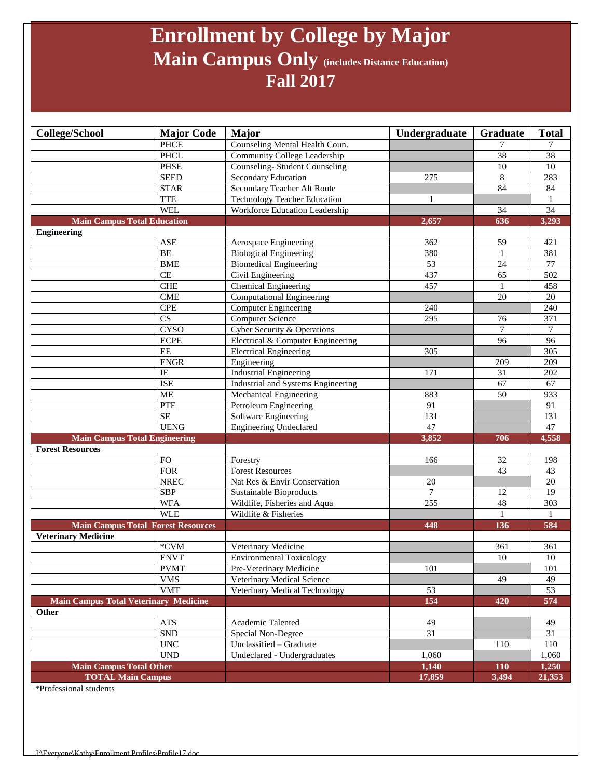## **Enrollment by College by Major Main Campus Only (includes Distance Education) Fall 2017**

| College/School                            | <b>Major Code</b>           | <b>Major</b>                         | Undergraduate   | <b>Graduate</b> | <b>Total</b>    |
|-------------------------------------------|-----------------------------|--------------------------------------|-----------------|-----------------|-----------------|
|                                           | <b>PHCE</b>                 | Counseling Mental Health Coun.       |                 |                 | 7               |
|                                           | <b>PHCL</b>                 | Community College Leadership         |                 | $\overline{38}$ | $\overline{38}$ |
|                                           | <b>PHSE</b>                 | <b>Counseling-Student Counseling</b> |                 | 10              | $10\,$          |
|                                           | <b>SEED</b>                 | Secondary Education                  | 275             | 8               | 283             |
|                                           | <b>STAR</b>                 | Secondary Teacher Alt Route          |                 | 84              | 84              |
|                                           | <b>TTE</b>                  | <b>Technology Teacher Education</b>  | 1               |                 | 1               |
|                                           | <b>WEL</b>                  | Workforce Education Leadership       |                 | 34              | 34              |
| <b>Main Campus Total Education</b>        |                             |                                      | 2,657           | 636             | 3,293           |
| <b>Engineering</b>                        |                             |                                      |                 |                 |                 |
|                                           | <b>ASE</b>                  | Aerospace Engineering                | 362             | 59              | 421             |
|                                           | BE                          | <b>Biological Engineering</b>        | 380             | 1               | 381             |
|                                           | <b>BME</b>                  | <b>Biomedical Engineering</b>        | 53              | 24              | $77 \,$         |
|                                           | CE                          | Civil Engineering                    | 437             | 65              | 502             |
|                                           | <b>CHE</b>                  | Chemical Engineering                 | 457             |                 | 458             |
|                                           | <b>CME</b>                  | <b>Computational Engineering</b>     |                 | 20              | 20              |
|                                           | <b>CPE</b>                  | <b>Computer Engineering</b>          | 240             |                 | 240             |
|                                           | CS                          | <b>Computer Science</b>              | 295             | 76              | 371             |
|                                           | <b>CYSO</b>                 | Cyber Security & Operations          |                 | 7               | 7               |
|                                           | <b>ECPE</b>                 | Electrical & Computer Engineering    |                 | 96              | 96              |
|                                           | EE                          | <b>Electrical Engineering</b>        | 305             |                 | 305             |
|                                           | <b>ENGR</b>                 | Engineering                          |                 | 209             | 209             |
|                                           | $\overline{IE}$             | <b>Industrial Engineering</b>        | 171             | 31              | 202             |
|                                           | <b>ISE</b>                  | Industrial and Systems Engineering   |                 | 67              | 67              |
|                                           | <b>ME</b>                   | Mechanical Engineering               | 883             | 50              | 933             |
|                                           | <b>PTE</b>                  | Petroleum Engineering                | 91              |                 | 91              |
|                                           | $\rm SE$                    | Software Engineering                 | 131             |                 | 131             |
|                                           | <b>UENG</b>                 | <b>Engineering Undeclared</b>        | 47              |                 | 47              |
| <b>Main Campus Total Engineering</b>      |                             |                                      | 3,852           | 706             | 4,558           |
| <b>Forest Resources</b>                   |                             |                                      |                 |                 |                 |
|                                           | <b>FO</b>                   | Forestry                             | 166             | 32              | 198             |
|                                           | <b>FOR</b>                  | <b>Forest Resources</b>              |                 | 43              | 43              |
|                                           | <b>NREC</b>                 | Nat Res & Envir Conservation         | 20              |                 | $20\,$          |
|                                           | SBP                         | Sustainable Bioproducts              | $\tau$          | 12              | 19              |
|                                           | <b>WFA</b>                  | Wildlife, Fisheries and Aqua         | 255             | 48              | 303             |
|                                           | <b>WLE</b>                  | Wildlife & Fisheries                 |                 |                 |                 |
| <b>Main Campus Total Forest Resources</b> |                             |                                      | 448             | 136             | 584             |
| <b>Veterinary Medicine</b>                |                             |                                      |                 |                 |                 |
|                                           | *CVM                        | Veterinary Medicine                  |                 | 361             | 361             |
|                                           | <b>ENVT</b>                 | <b>Environmental Toxicology</b>      |                 | 10              | 10              |
|                                           | <b>PVMT</b>                 | Pre-Veterinary Medicine              | 101             |                 | 101             |
|                                           | <b>VMS</b>                  | Veterinary Medical Science           |                 | 49              | 49              |
|                                           | <b>VMT</b>                  | Veterinary Medical Technology        | 53              |                 | 53              |
| Main Campus Total Veterinary Medicine     |                             |                                      | 154             | 420             | 574             |
| Other                                     |                             |                                      |                 |                 |                 |
|                                           | ${\rm ATS}$                 | Academic Talented                    | 49              |                 | 49              |
|                                           | ${\rm SND}$                 | Special Non-Degree                   | $\overline{31}$ |                 | 31              |
|                                           | <b>UNC</b>                  | Unclassified - Graduate              |                 | 110             | 110             |
|                                           | $\ensuremath{\mathrm{UND}}$ | Undeclared - Undergraduates          | 1,060           |                 | 1,060           |
| <b>Main Campus Total Other</b>            |                             |                                      | 1,140           | 110             | 1,250           |
| <b>TOTAL Main Campus</b>                  |                             |                                      | 17,859          | 3,494           | 21,353          |

\*Professional students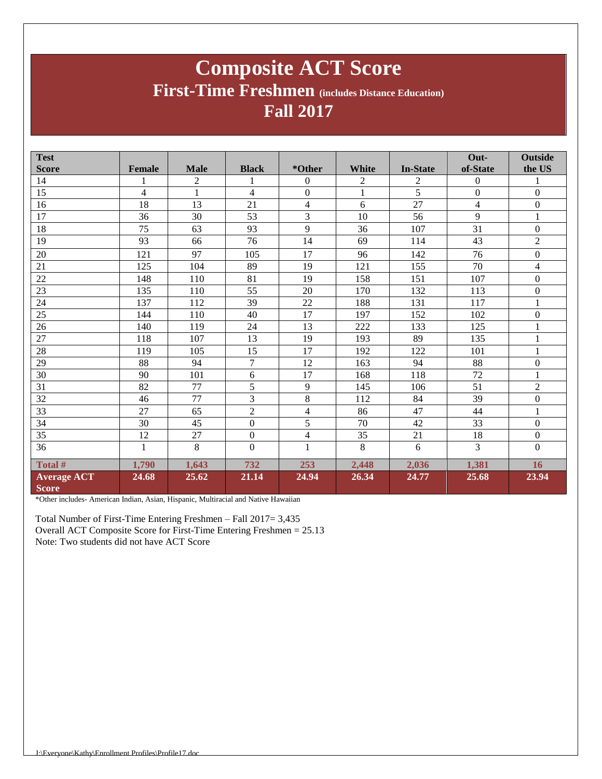### **Composite ACT Score First-Time Freshmen (includes Distance Education) Fall 2017**

| <b>Test</b>                        |                |                |                |                |              |                 | Out-           | <b>Outside</b>   |
|------------------------------------|----------------|----------------|----------------|----------------|--------------|-----------------|----------------|------------------|
| <b>Score</b>                       | <b>Female</b>  | <b>Male</b>    | <b>Black</b>   | *Other         | White        | <b>In-State</b> | of-State       | the US           |
| 14                                 |                | $\overline{c}$ |                | $\theta$       | 2            | 2               | $\overline{0}$ | 1                |
| 15                                 | $\overline{4}$ | $\mathbf{1}$   | $\overline{4}$ | $\overline{0}$ | $\mathbf{1}$ | 5               | $\overline{0}$ | $\mathbf{0}$     |
| 16                                 | 18             | 13             | 21             | $\overline{4}$ | 6            | 27              | $\overline{4}$ | $\boldsymbol{0}$ |
| 17                                 | 36             | 30             | 53             | 3              | 10           | 56              | 9              | $\mathbf{1}$     |
| 18                                 | 75             | 63             | 93             | 9              | 36           | 107             | 31             | $\boldsymbol{0}$ |
| 19                                 | 93             | 66             | 76             | 14             | 69           | 114             | 43             | $\overline{2}$   |
| 20                                 | 121            | 97             | 105            | 17             | 96           | 142             | 76             | $\boldsymbol{0}$ |
| 21                                 | 125            | 104            | 89             | 19             | 121          | 155             | 70             | $\overline{4}$   |
| 22                                 | 148            | 110            | 81             | 19             | 158          | 151             | 107            | $\boldsymbol{0}$ |
| 23                                 | 135            | 110            | 55             | 20             | 170          | 132             | 113            | $\boldsymbol{0}$ |
| 24                                 | 137            | 112            | 39             | 22             | 188          | 131             | 117            | $\mathbf{1}$     |
| 25                                 | 144            | 110            | 40             | 17             | 197          | 152             | 102            | $\boldsymbol{0}$ |
| 26                                 | 140            | 119            | 24             | 13             | 222          | 133             | 125            | $\mathbf{1}$     |
| 27                                 | 118            | 107            | 13             | 19             | 193          | 89              | 135            | 1                |
| 28                                 | 119            | 105            | 15             | 17             | 192          | 122             | 101            | $\mathbf{1}$     |
| 29                                 | 88             | 94             | $\tau$         | 12             | 163          | 94              | 88             | $\boldsymbol{0}$ |
| 30                                 | 90             | 101            | 6              | 17             | 168          | 118             | 72             | $\mathbf{1}$     |
| 31                                 | 82             | 77             | 5              | 9              | 145          | 106             | 51             | $\overline{2}$   |
| 32                                 | 46             | 77             | 3              | $\,8\,$        | 112          | 84              | 39             | $\boldsymbol{0}$ |
| 33                                 | 27             | 65             | $\overline{2}$ | $\overline{4}$ | 86           | 47              | 44             | $\mathbf{1}$     |
| 34                                 | 30             | 45             | $\Omega$       | 5              | 70           | 42              | 33             | $\boldsymbol{0}$ |
| 35                                 | 12             | 27             | $\mathbf{0}$   | $\overline{4}$ | 35           | 21              | 18             | $\mathbf{0}$     |
| 36                                 | 1              | 8              | $\mathbf{0}$   | $\mathbf{1}$   | 8            | 6               | 3              | $\mathbf{0}$     |
| Total #                            | 1,790          | 1,643          | 732            | 253            | 2,448        | 2,036           | 1,381          | 16               |
| <b>Average ACT</b><br><b>Score</b> | 24.68          | 25.62          | 21.14          | 24.94          | 26.34        | 24.77           | 25.68          | 23.94            |

\*Other includes- American Indian, Asian, Hispanic, Multiracial and Native Hawaiian

Total Number of First-Time Entering Freshmen – Fall 2017= 3,435 Overall ACT Composite Score for First-Time Entering Freshmen = 25.13 Note: Two students did not have ACT Score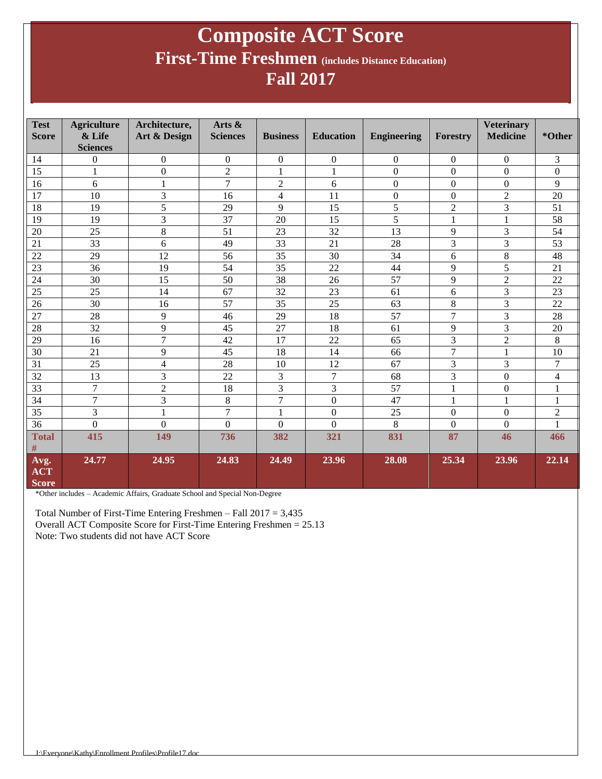### **Composite ACT Score First-Time Freshmen (includes Distance Education) Fall 2017**

| <b>Test</b><br><b>Score</b>        | <b>Agriculture</b><br>& Life<br><b>Sciences</b> | Architecture,<br>Art & Design | Arts &<br><b>Sciences</b> | <b>Business</b>  | <b>Education</b> | <b>Engineering</b> | <b>Forestry</b>  | <b>Veterinary</b><br><b>Medicine</b> | *Other         |
|------------------------------------|-------------------------------------------------|-------------------------------|---------------------------|------------------|------------------|--------------------|------------------|--------------------------------------|----------------|
| 14                                 | $\overline{0}$                                  | $\boldsymbol{0}$              | $\boldsymbol{0}$          | $\boldsymbol{0}$ | $\boldsymbol{0}$ | $\boldsymbol{0}$   | $\overline{0}$   | $\boldsymbol{0}$                     | 3              |
| 15                                 |                                                 | $\boldsymbol{0}$              | $\overline{2}$            | $\mathbf{1}$     | $\mathbf{1}$     | $\boldsymbol{0}$   | $\mathbf{0}$     | $\Omega$                             | $\mathbf{0}$   |
| 16                                 | 6                                               | 1                             | $\overline{7}$            | $\overline{2}$   | 6                | $\boldsymbol{0}$   | $\Omega$         | $\Omega$                             | 9              |
| 17                                 | 10                                              | 3                             | 16                        | 4                | 11               | $\boldsymbol{0}$   | $\mathbf{0}$     | $\overline{2}$                       | 20             |
| 18                                 | 19                                              | 5                             | 29                        | 9                | 15               | 5                  | $\overline{2}$   | 3                                    | 51             |
| 19                                 | 19                                              | 3                             | 37                        | 20               | 15               | 5                  | $\mathbf{1}$     | 1                                    | 58             |
| 20                                 | 25                                              | 8                             | 51                        | 23               | 32               | 13                 | 9                | 3                                    | 54             |
| 21                                 | 33                                              | 6                             | 49                        | 33               | 21               | 28                 | $\overline{3}$   | 3                                    | 53             |
| 22                                 | 29                                              | 12                            | 56                        | 35               | 30               | 34                 | 6                | 8                                    | 48             |
| 23                                 | 36                                              | 19                            | 54                        | 35               | 22               | 44                 | 9                | $\overline{5}$                       | 21             |
| 24                                 | 30                                              | 15                            | 50                        | 38               | 26               | 57                 | 9                | $\overline{2}$                       | 22             |
| 25                                 | 25                                              | 14                            | 67                        | 32               | 23               | 61                 | 6                | 3                                    | 23             |
| 26                                 | 30                                              | 16                            | 57                        | 35               | 25               | 63                 | 8                | 3                                    | 22             |
| 27                                 | 28                                              | 9                             | 46                        | 29               | 18               | 57                 | $\overline{7}$   | 3                                    | 28             |
| 28                                 | 32                                              | 9                             | 45                        | 27               | 18               | 61                 | 9                | 3                                    | 20             |
| 29                                 | 16                                              | $\overline{7}$                | 42                        | 17               | 22               | 65                 | $\overline{3}$   | $\overline{2}$                       | 8              |
| 30                                 | 21                                              | 9                             | 45                        | 18               | 14               | 66                 | $\overline{7}$   | 1                                    | 10             |
| 31                                 | 25                                              | 4                             | 28                        | 10               | 12               | 67                 | 3                | 3                                    | $\overline{7}$ |
| 32                                 | 13                                              | 3                             | 22                        | 3                | 7                | 68                 | 3                | $\boldsymbol{0}$                     | $\overline{4}$ |
| 33                                 | $\overline{7}$                                  | $\overline{c}$                | 18                        | 3                | 3                | 57                 | $\mathbf{1}$     | $\boldsymbol{0}$                     | 1              |
| 34                                 | 7                                               | 3                             | $8\,$                     | $\overline{7}$   | $\boldsymbol{0}$ | 47                 | $\mathbf{1}$     | 1                                    | $\mathbf{1}$   |
| 35                                 | 3                                               | $\mathbf{1}$                  | $\overline{7}$            | $\mathbf{1}$     | $\boldsymbol{0}$ | 25                 | $\Omega$         | $\Omega$                             | $\mathfrak{2}$ |
| 36                                 | $\boldsymbol{0}$                                | $\overline{0}$                | $\boldsymbol{0}$          | $\boldsymbol{0}$ | $\theta$         | 8                  | $\boldsymbol{0}$ | $\boldsymbol{0}$                     | 1              |
| <b>Total</b><br>#                  | 415                                             | 149                           | 736                       | 382              | 321              | 831                | 87               | 46                                   | 466            |
| Avg.<br><b>ACT</b><br><b>Score</b> | 24.77                                           | 24.95                         | 24.83                     | 24.49            | 23.96            | 28.08              | 25.34            | 23.96                                | 22.14          |

\*Other includes – Academic Affairs, Graduate School and Special Non-Degree

Total Number of First-Time Entering Freshmen – Fall 2017 = 3,435 Overall ACT Composite Score for First-Time Entering Freshmen = 25.13 Note: Two students did not have ACT Score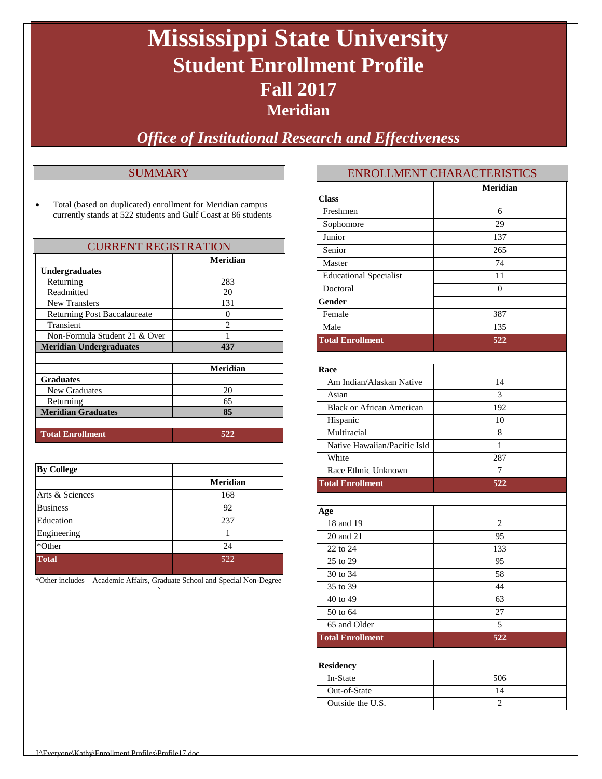## **Mississippi State University Student Enrollment Profile Fall 2017 Meridian**

*Office of Institutional Research and Effectiveness*

### **SUMMARY**

 Total (based on duplicated) enrollment for Meridian campus currently stands at 522 students and Gulf Coast at 86 students

| <b>CURRENT REGISTRATION</b>         |                 |  |
|-------------------------------------|-----------------|--|
|                                     | <b>Meridian</b> |  |
| <b>Undergraduates</b>               |                 |  |
| Returning                           | 283             |  |
| Readmitted                          | 20              |  |
| <b>New Transfers</b>                | 131             |  |
| <b>Returning Post Baccalaureate</b> | $\mathbf{0}$    |  |
| Transient                           | $\mathfrak{D}$  |  |
| Non-Formula Student 21 & Over       |                 |  |
| <b>Meridian Undergraduates</b>      | 437             |  |
|                                     |                 |  |
|                                     | <b>Meridian</b> |  |
| <b>Graduates</b>                    |                 |  |
| New Graduates                       | 20              |  |
| Returning                           | 65              |  |
| <b>Meridian Graduates</b>           | 85              |  |
|                                     |                 |  |

| <b>Total Enrollment</b> |  |
|-------------------------|--|
|                         |  |

| <b>By College</b> |                 |
|-------------------|-----------------|
|                   | <b>Meridian</b> |
| Arts & Sciences   | 168             |
| <b>Business</b>   | 92              |
| Education         | 237             |
| Engineering       |                 |
| *Other            | 24              |
| <b>Total</b>      | 522             |

\*Other includes – Academic Affairs, Graduate School and Special Non-Degree `

|                                  | EINKULLIVIEIN I UTIAKAU LEKISTIUS |
|----------------------------------|-----------------------------------|
|                                  | <b>Meridian</b>                   |
| <b>Class</b>                     |                                   |
| Freshmen                         | 6                                 |
| Sophomore                        | 29                                |
| Junior                           | 137                               |
| Senior                           | 265                               |
| Master                           | 74                                |
| <b>Educational Specialist</b>    | 11                                |
| Doctoral                         | $\overline{0}$                    |
| Gender                           |                                   |
| Female                           | 387                               |
| Male                             | 135                               |
| <b>Total Enrollment</b>          | 522                               |
|                                  |                                   |
| Race                             |                                   |
| Am Indian/Alaskan Native         | 14                                |
| Asian                            | 3                                 |
| <b>Black or African American</b> | 192                               |
| Hispanic                         | 10                                |
| Multiracial                      | 8                                 |
| Native Hawaiian/Pacific Isld     | 1                                 |
| White                            | 287                               |
| Race Ethnic Unknown              | 7                                 |
| <b>Total Enrollment</b>          | 522                               |
|                                  |                                   |
| Age                              |                                   |
| 18 and 19                        | $\overline{2}$                    |
| 20 and 21                        | 95                                |
| 22 to 24                         | 133                               |
| 25 to 29                         | 95                                |
| 30 to 34                         | 58                                |
| 35 to 39                         | 44                                |
| 40 to 49                         | 63                                |
| 50 to 64                         | 27                                |
| 65 and Older                     | 5                                 |
| <b>Total Enrollment</b>          | 522                               |
|                                  |                                   |
| <b>Residency</b>                 |                                   |
| In-State                         | 506                               |
| Out-of-State                     | 14                                |
| Outside the U.S.                 | $\overline{c}$                    |
|                                  |                                   |

ENDOLLMENT CHARACTERISTICS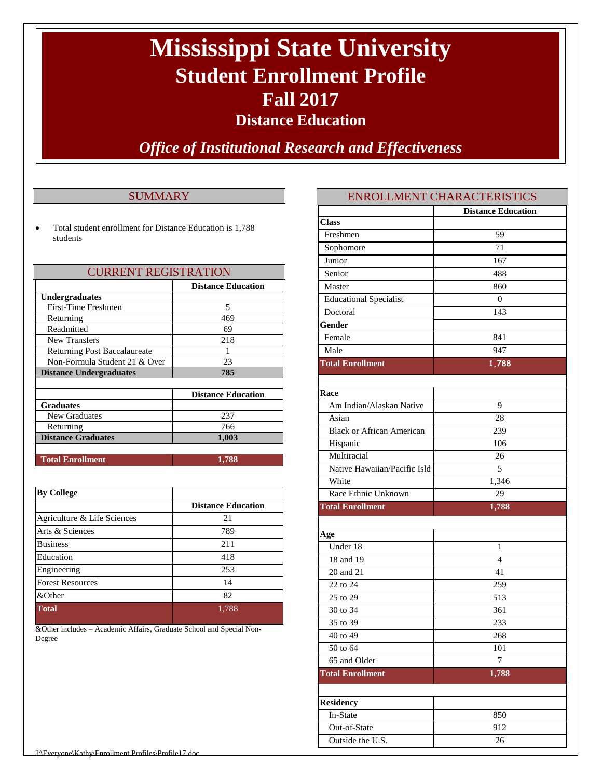# **Mississippi State University Student Enrollment Profile Fall 2017**

**Distance Education**

*Office of Institutional Research and Effectiveness*

### **SUMMARY**

 Total student enrollment for Distance Education is 1,788 students

| <b>CURRENT REGISTRATION</b>         |                           |  |
|-------------------------------------|---------------------------|--|
|                                     | <b>Distance Education</b> |  |
| <b>Undergraduates</b>               |                           |  |
| First-Time Freshmen                 | 5                         |  |
| Returning                           | 469                       |  |
| Readmitted                          | 69                        |  |
| <b>New Transfers</b>                | 218                       |  |
| <b>Returning Post Baccalaureate</b> | 1                         |  |
| Non-Formula Student 21 & Over       | 23                        |  |
| <b>Distance Undergraduates</b>      | 785                       |  |
|                                     |                           |  |
|                                     | <b>Distance Education</b> |  |
| <b>Graduates</b>                    |                           |  |
| New Graduates                       | 237                       |  |
| Returning                           | 766                       |  |
| <b>Distance Graduates</b>           | 1,003                     |  |
| <b>Total Enrollment</b>             | 1,788                     |  |

| <b>By College</b>           |                           |
|-----------------------------|---------------------------|
|                             | <b>Distance Education</b> |
| Agriculture & Life Sciences | 21                        |
| Arts & Sciences             | 789                       |
| <b>Business</b>             | 211                       |
| Education                   | 418                       |
| Engineering                 | 253                       |
| <b>Forest Resources</b>     | 14                        |
| &Other                      | 82                        |
| <b>Total</b>                | 1,788                     |

&Other includes – Academic Affairs, Graduate School and Special Non-Degree

### ENROLLMENT CHARACTERISTICS

|                                  | <b>Distance Education</b> |
|----------------------------------|---------------------------|
| <b>Class</b>                     |                           |
| Freshmen                         | 59                        |
| Sophomore                        | 71                        |
| Junior                           | 167                       |
| Senior                           | 488                       |
| Master                           | 860                       |
| <b>Educational Specialist</b>    | $\overline{0}$            |
| Doctoral                         | 143                       |
| Gender                           |                           |
| Female                           | 841                       |
| Male                             | 947                       |
| <b>Total Enrollment</b>          | 1,788                     |
|                                  |                           |
| Race                             |                           |
| Am Indian/Alaskan Native         | 9                         |
| Asian                            | 28                        |
| <b>Black or African American</b> | 239                       |
| Hispanic                         | 106                       |
| Multiracial                      | 26                        |
| Native Hawaiian/Pacific Isld     | 5                         |
| White                            | 1,346                     |
| Race Ethnic Unknown              | 29                        |
| <b>Total Enrollment</b>          | 1,788                     |
|                                  |                           |
| Age                              |                           |
| Under 18                         | 1                         |
| 18 and 19                        | $\overline{4}$            |
| 20 and 21                        | 41                        |
| 22 to 24                         | 259                       |
| 25 to 29                         | 513                       |
| 30 to 34                         | 361                       |
| 35 to 39                         | 233                       |
| 40 to 49                         | 268                       |
| 50 to 64                         | 101                       |
| 65 and Older                     | $\overline{7}$            |
| <b>Total Enrollment</b>          | 1,788                     |
| <b>Residency</b>                 |                           |
| In-State                         | 850                       |
| Out-of-State                     | 912                       |
| Outside the U.S.                 | 26                        |